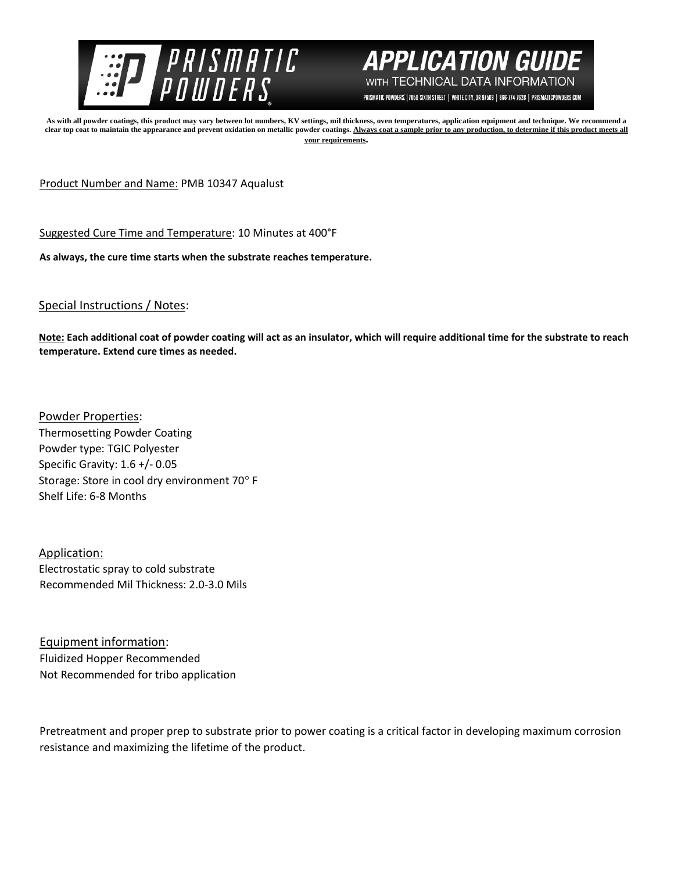



PRISMATIC POWDERS. | 7050 SIXTH STREET | WHITE CITY, OR 97503 | 866-774-7628 | PRISMATICPOWDERS.COM

**As with all powder coatings, this product may vary between lot numbers, KV settings, mil thickness, oven temperatures, application equipment and technique. We recommend a**  clear top coat to maintain the appearance and prevent oxidation on metallic powder coatings. Always coat a sample prior to any production, to determine if this product meets all **your requirements.** 

Product Number and Name: PMB 10347 Aqualust

Suggested Cure Time and Temperature: 10 Minutes at 400°F

**As always, the cure time starts when the substrate reaches temperature.**

## Special Instructions / Notes:

**Note: Each additional coat of powder coating will act as an insulator, which will require additional time for the substrate to reach temperature. Extend cure times as needed.** 

Powder Properties: Thermosetting Powder Coating Powder type: TGIC Polyester Specific Gravity: 1.6 +/- 0.05 Storage: Store in cool dry environment 70° F Shelf Life: 6-8 Months

Application: Electrostatic spray to cold substrate Recommended Mil Thickness: 2.0-3.0 Mils

Equipment information: Fluidized Hopper Recommended Not Recommended for tribo application

Pretreatment and proper prep to substrate prior to power coating is a critical factor in developing maximum corrosion resistance and maximizing the lifetime of the product.